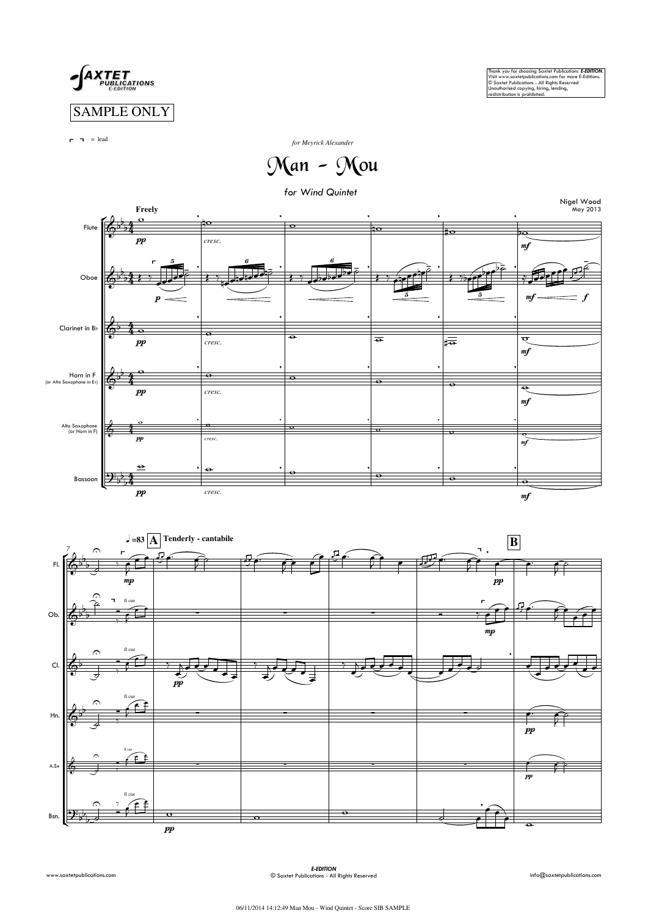

## SAMPLE ONLY

Thank you for choosing Saxtet Publications **E-EDITION**<br>Visit www.saxtetpublications.com for more E-Editions.<br>© Saxtet Publications - All Rights Reserved<br>Unauthorised copying, hiring, lending,<br>redistribution is prohibited.

 $\blacksquare$   $\blacksquare$  = lead

*for Meyrick Alexander*



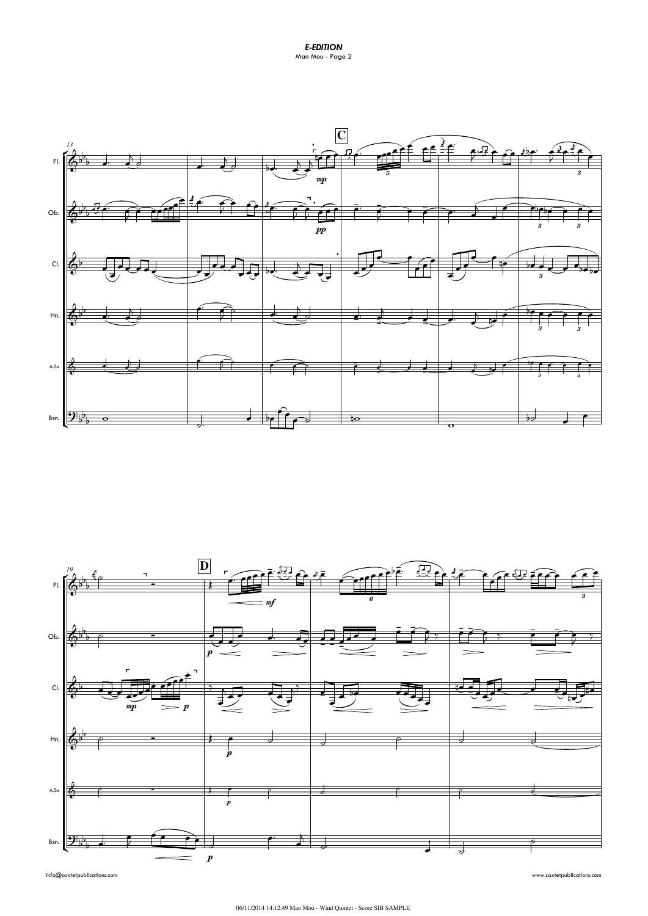



info@saxtetpublicati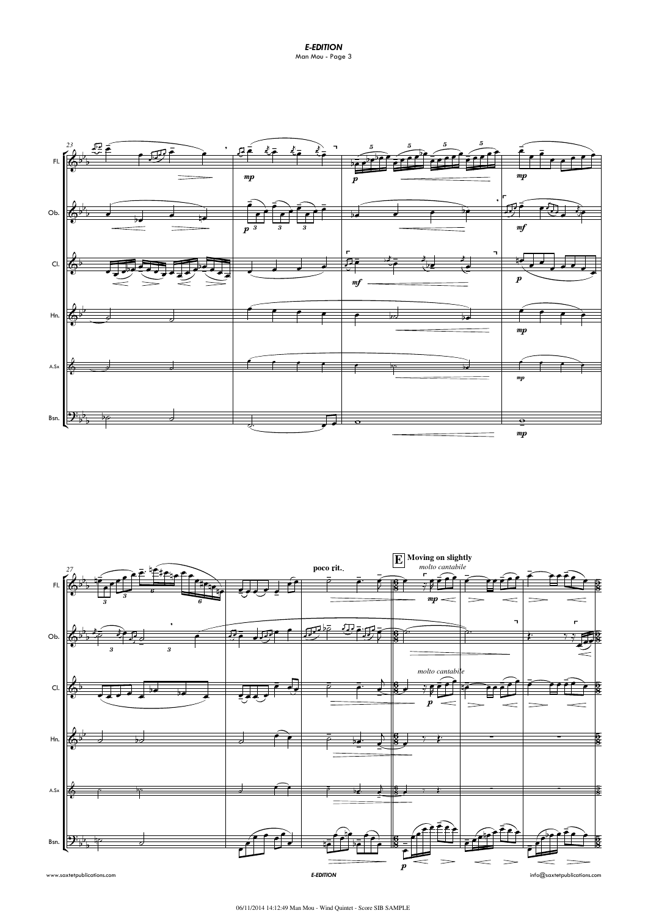**E-EDITION** Man Mou - Page 3



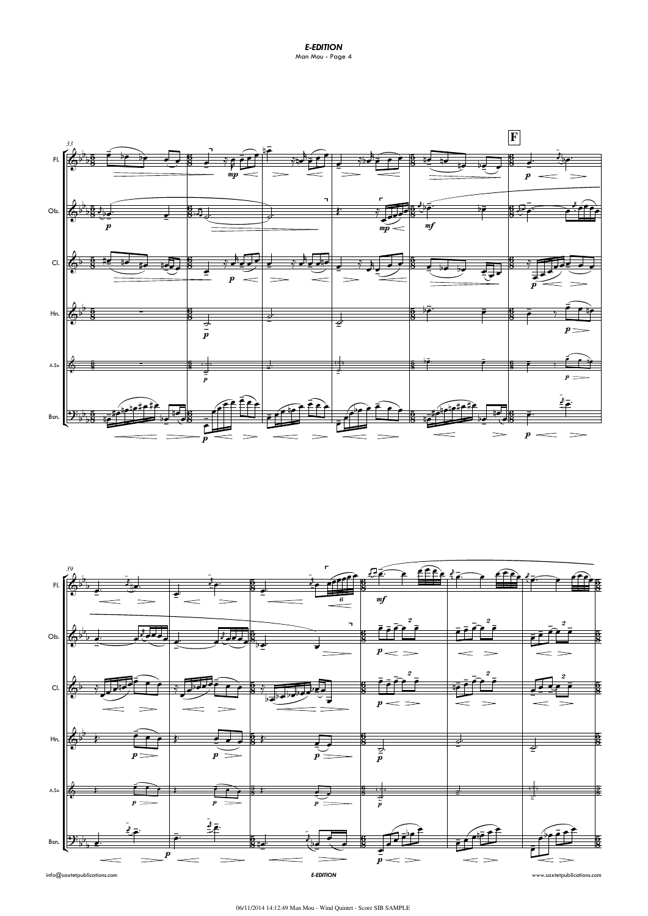**E-EDITION** Man Mou - Page 4





06/11/2014 14:12:49 Man Mou - Wind Quintet - Score SIB SAMPLE